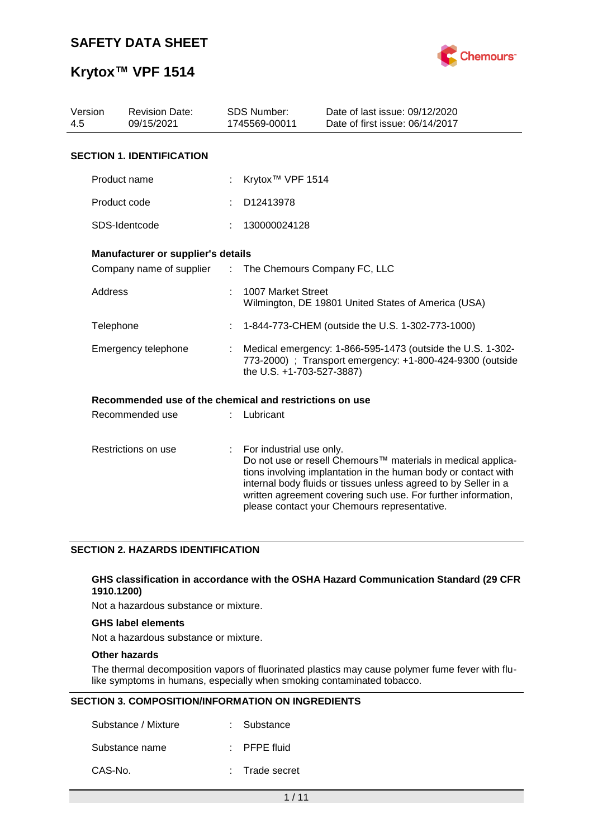

## **Krytox™ VPF 1514**

| Version<br>4.5 | <b>Revision Date:</b><br>09/15/2021                     |    | <b>SDS Number:</b><br>1745569-00011                                                                                                                  | Date of last issue: 09/12/2020<br>Date of first issue: 06/14/2017                                                                                                                                                                                                                                                  |
|----------------|---------------------------------------------------------|----|------------------------------------------------------------------------------------------------------------------------------------------------------|--------------------------------------------------------------------------------------------------------------------------------------------------------------------------------------------------------------------------------------------------------------------------------------------------------------------|
|                | <b>SECTION 1. IDENTIFICATION</b>                        |    |                                                                                                                                                      |                                                                                                                                                                                                                                                                                                                    |
|                | Product name                                            |    | Krytox <sup>™</sup> VPF 1514                                                                                                                         |                                                                                                                                                                                                                                                                                                                    |
|                |                                                         |    |                                                                                                                                                      |                                                                                                                                                                                                                                                                                                                    |
|                | Product code                                            |    | D12413978                                                                                                                                            |                                                                                                                                                                                                                                                                                                                    |
|                | SDS-Identcode                                           |    | 130000024128                                                                                                                                         |                                                                                                                                                                                                                                                                                                                    |
|                | Manufacturer or supplier's details                      |    |                                                                                                                                                      |                                                                                                                                                                                                                                                                                                                    |
|                | Company name of supplier : The Chemours Company FC, LLC |    |                                                                                                                                                      |                                                                                                                                                                                                                                                                                                                    |
| <b>Address</b> |                                                         |    | 1007 Market Street                                                                                                                                   | Wilmington, DE 19801 United States of America (USA)                                                                                                                                                                                                                                                                |
|                | Telephone                                               |    |                                                                                                                                                      | 1-844-773-CHEM (outside the U.S. 1-302-773-1000)                                                                                                                                                                                                                                                                   |
|                | Emergency telephone                                     |    | Medical emergency: 1-866-595-1473 (outside the U.S. 1-302-<br>773-2000) ; Transport emergency: +1-800-424-9300 (outside<br>the U.S. +1-703-527-3887) |                                                                                                                                                                                                                                                                                                                    |
|                | Recommended use of the chemical and restrictions on use |    |                                                                                                                                                      |                                                                                                                                                                                                                                                                                                                    |
|                | Recommended use                                         |    | Lubricant                                                                                                                                            |                                                                                                                                                                                                                                                                                                                    |
|                | Restrictions on use                                     | ÷. | For industrial use only.                                                                                                                             | Do not use or resell Chemours™ materials in medical applica-<br>tions involving implantation in the human body or contact with<br>internal body fluids or tissues unless agreed to by Seller in a<br>written agreement covering such use. For further information,<br>please contact your Chemours representative. |

## **SECTION 2. HAZARDS IDENTIFICATION**

### **GHS classification in accordance with the OSHA Hazard Communication Standard (29 CFR 1910.1200)**

Not a hazardous substance or mixture.

## **GHS label elements**

Not a hazardous substance or mixture.

### **Other hazards**

The thermal decomposition vapors of fluorinated plastics may cause polymer fume fever with flulike symptoms in humans, especially when smoking contaminated tobacco.

### **SECTION 3. COMPOSITION/INFORMATION ON INGREDIENTS**

| Substance / Mixture | : Substance             |
|---------------------|-------------------------|
| Substance name      | $\therefore$ PFPE fluid |
| CAS-No.             | : Trade secret          |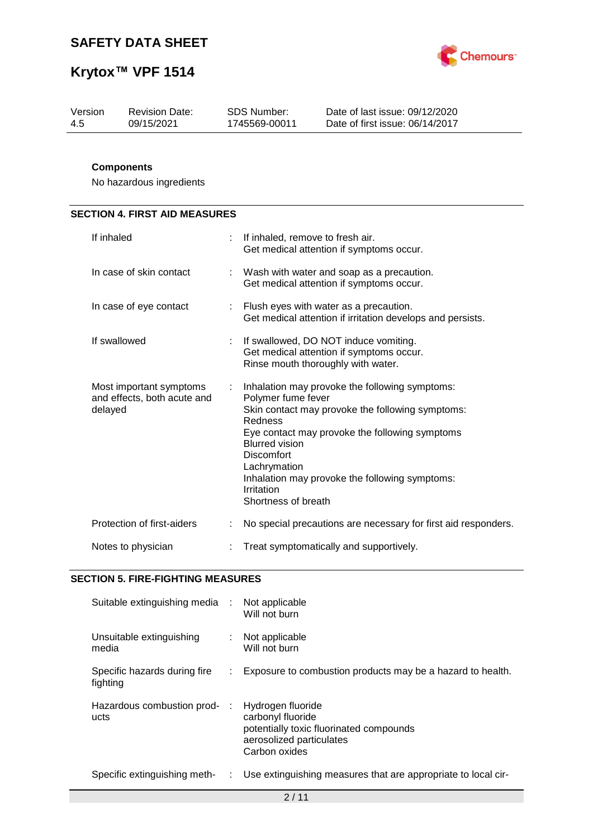



| Version | <b>Revision Date:</b> | SDS Number:   | Date of last issue: 09/12/2020  |
|---------|-----------------------|---------------|---------------------------------|
| -4.5    | 09/15/2021            | 1745569-00011 | Date of first issue: 06/14/2017 |

## **Components**

No hazardous ingredients

# **SECTION 4. FIRST AID MEASURES**

| If inhaled                                                        |    | If inhaled, remove to fresh air.<br>Get medical attention if symptoms occur.                                                                                                                                                                                                                                                               |
|-------------------------------------------------------------------|----|--------------------------------------------------------------------------------------------------------------------------------------------------------------------------------------------------------------------------------------------------------------------------------------------------------------------------------------------|
| In case of skin contact                                           |    | : Wash with water and soap as a precaution.<br>Get medical attention if symptoms occur.                                                                                                                                                                                                                                                    |
| In case of eye contact                                            |    | : Flush eyes with water as a precaution.<br>Get medical attention if irritation develops and persists.                                                                                                                                                                                                                                     |
| If swallowed                                                      | ÷. | If swallowed, DO NOT induce vomiting.<br>Get medical attention if symptoms occur.<br>Rinse mouth thoroughly with water.                                                                                                                                                                                                                    |
| Most important symptoms<br>and effects, both acute and<br>delayed | ÷  | Inhalation may provoke the following symptoms:<br>Polymer fume fever<br>Skin contact may provoke the following symptoms:<br>Redness<br>Eye contact may provoke the following symptoms<br><b>Blurred vision</b><br><b>Discomfort</b><br>Lachrymation<br>Inhalation may provoke the following symptoms:<br>Irritation<br>Shortness of breath |
| Protection of first-aiders                                        |    | No special precautions are necessary for first aid responders.                                                                                                                                                                                                                                                                             |
| Notes to physician                                                |    | Treat symptomatically and supportively.                                                                                                                                                                                                                                                                                                    |

### **SECTION 5. FIRE-FIGHTING MEASURES**

| Suitable extinguishing media :           |    | Not applicable<br>Will not burn                                                                                                |
|------------------------------------------|----|--------------------------------------------------------------------------------------------------------------------------------|
| Unsuitable extinguishing<br>media        |    | Not applicable<br>Will not burn                                                                                                |
| Specific hazards during fire<br>fighting |    | Exposure to combustion products may be a hazard to health.                                                                     |
| Hazardous combustion prod-<br>ucts       |    | Hydrogen fluoride<br>carbonyl fluoride<br>potentially toxic fluorinated compounds<br>aerosolized particulates<br>Carbon oxides |
| Specific extinguishing meth-             | ÷. | Use extinguishing measures that are appropriate to local cir-                                                                  |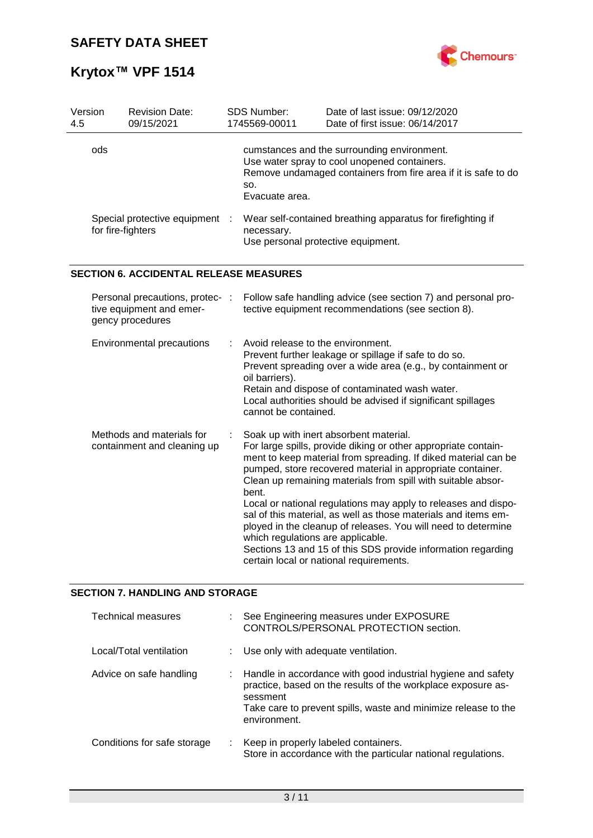

| Version<br>4.5 | <b>Revision Date:</b><br>09/15/2021                                             |  | SDS Number:<br>1745569-00011                                                | Date of last issue: 09/12/2020<br>Date of first issue: 06/14/2017                                                                                                                                                                                                                                                                                                                                                                                                                                                                                                                                                        |
|----------------|---------------------------------------------------------------------------------|--|-----------------------------------------------------------------------------|--------------------------------------------------------------------------------------------------------------------------------------------------------------------------------------------------------------------------------------------------------------------------------------------------------------------------------------------------------------------------------------------------------------------------------------------------------------------------------------------------------------------------------------------------------------------------------------------------------------------------|
| ods            |                                                                                 |  | SO.<br>Evacuate area.                                                       | cumstances and the surrounding environment.<br>Use water spray to cool unopened containers.<br>Remove undamaged containers from fire area if it is safe to do                                                                                                                                                                                                                                                                                                                                                                                                                                                            |
|                | Special protective equipment<br>for fire-fighters                               |  | necessary.<br>Use personal protective equipment.                            | Wear self-contained breathing apparatus for firefighting if                                                                                                                                                                                                                                                                                                                                                                                                                                                                                                                                                              |
|                | <b>SECTION 6. ACCIDENTAL RELEASE MEASURES</b>                                   |  |                                                                             |                                                                                                                                                                                                                                                                                                                                                                                                                                                                                                                                                                                                                          |
|                | Personal precautions, protec- :<br>tive equipment and emer-<br>gency procedures |  |                                                                             | Follow safe handling advice (see section 7) and personal pro-<br>tective equipment recommendations (see section 8).                                                                                                                                                                                                                                                                                                                                                                                                                                                                                                      |
|                | Environmental precautions                                                       |  | Avoid release to the environment.<br>oil barriers).<br>cannot be contained. | Prevent further leakage or spillage if safe to do so.<br>Prevent spreading over a wide area (e.g., by containment or<br>Retain and dispose of contaminated wash water.<br>Local authorities should be advised if significant spillages                                                                                                                                                                                                                                                                                                                                                                                   |
|                | Methods and materials for<br>containment and cleaning up                        |  | bent.<br>which regulations are applicable.                                  | Soak up with inert absorbent material.<br>For large spills, provide diking or other appropriate contain-<br>ment to keep material from spreading. If diked material can be<br>pumped, store recovered material in appropriate container.<br>Clean up remaining materials from spill with suitable absor-<br>Local or national regulations may apply to releases and dispo-<br>sal of this material, as well as those materials and items em-<br>ployed in the cleanup of releases. You will need to determine<br>Sections 13 and 15 of this SDS provide information regarding<br>certain local or national requirements. |

## **SECTION 7. HANDLING AND STORAGE**

| <b>Technical measures</b>   |    | See Engineering measures under EXPOSURE<br>CONTROLS/PERSONAL PROTECTION section.                                                                                                                                           |
|-----------------------------|----|----------------------------------------------------------------------------------------------------------------------------------------------------------------------------------------------------------------------------|
| Local/Total ventilation     |    | : Use only with adequate ventilation.                                                                                                                                                                                      |
| Advice on safe handling     | ÷. | Handle in accordance with good industrial hygiene and safety<br>practice, based on the results of the workplace exposure as-<br>sessment<br>Take care to prevent spills, waste and minimize release to the<br>environment. |
| Conditions for safe storage | ÷. | Keep in properly labeled containers.<br>Store in accordance with the particular national regulations.                                                                                                                      |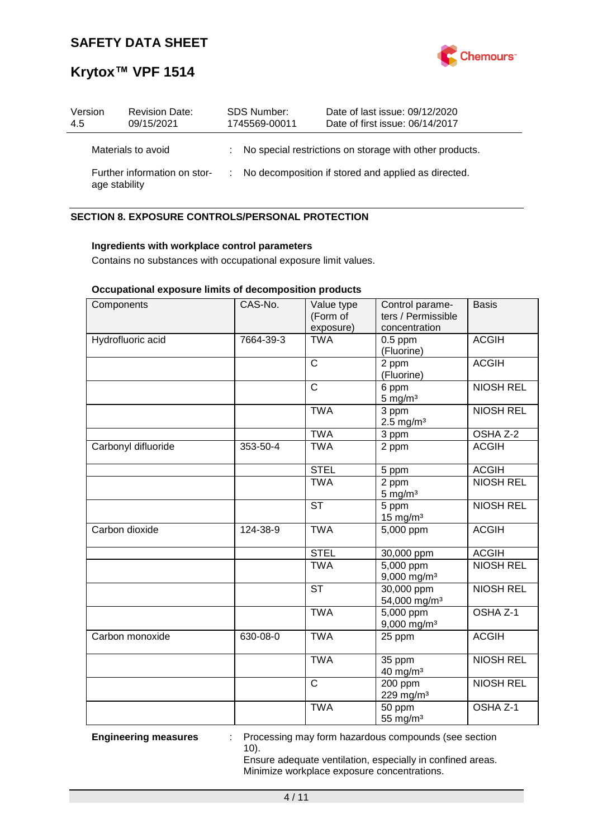

## **Krytox™ VPF 1514**

| Version<br>4.5 | <b>Revision Date:</b><br>09/15/2021           |  | SDS Number:<br>1745569-00011 | Date of last issue: 09/12/2020<br>Date of first issue: 06/14/2017 |
|----------------|-----------------------------------------------|--|------------------------------|-------------------------------------------------------------------|
|                | Materials to avoid                            |  |                              | : No special restrictions on storage with other products.         |
|                | Further information on stor-<br>age stability |  |                              | : No decomposition if stored and applied as directed.             |

## **SECTION 8. EXPOSURE CONTROLS/PERSONAL PROTECTION**

### **Ingredients with workplace control parameters**

Contains no substances with occupational exposure limit values.

## **Occupational exposure limits of decomposition products**

| Components          | CAS-No.   | Value type<br>(Form of<br>exposure) | Control parame-<br>ters / Permissible<br>concentration | <b>Basis</b>        |
|---------------------|-----------|-------------------------------------|--------------------------------------------------------|---------------------|
| Hydrofluoric acid   | 7664-39-3 | <b>TWA</b>                          | $0.5$ ppm<br>(Fluorine)                                | <b>ACGIH</b>        |
|                     |           | $\mathsf{C}$                        | 2 ppm<br>(Fluorine)                                    | <b>ACGIH</b>        |
|                     |           | $\mathsf{C}$                        | 6 ppm<br>$5$ mg/m <sup>3</sup>                         | <b>NIOSH REL</b>    |
|                     |           | <b>TWA</b>                          | $\overline{3}$ ppm<br>$2.5 \text{ mg/m}^3$             | <b>NIOSH REL</b>    |
|                     |           | <b>TWA</b>                          | 3 ppm                                                  | OSHA Z-2            |
| Carbonyl difluoride | 353-50-4  | <b>TWA</b>                          | 2 ppm                                                  | <b>ACGIH</b>        |
|                     |           | <b>STEL</b>                         | 5 ppm                                                  | <b>ACGIH</b>        |
|                     |           | <b>TWA</b>                          | 2 ppm<br>$5 \text{ mg/m}^3$                            | <b>NIOSH REL</b>    |
|                     |           | $\overline{\text{ST}}$              | 5 ppm<br>$15$ mg/m <sup>3</sup>                        | <b>NIOSH REL</b>    |
| Carbon dioxide      | 124-38-9  | <b>TWA</b>                          | 5,000 ppm                                              | <b>ACGIH</b>        |
|                     |           | <b>STEL</b>                         | 30,000 ppm                                             | <b>ACGIH</b>        |
|                     |           | <b>TWA</b>                          | $5,000$ ppm<br>$9,000$ mg/m <sup>3</sup>               | <b>NIOSH REL</b>    |
|                     |           | <b>ST</b>                           | 30,000 ppm<br>54,000 mg/m <sup>3</sup>                 | <b>NIOSH REL</b>    |
|                     |           | <b>TWA</b>                          | $5,000$ ppm<br>$9,000$ mg/m <sup>3</sup>               | OSHA Z-1            |
| Carbon monoxide     | 630-08-0  | <b>TWA</b>                          | 25 ppm                                                 | <b>ACGIH</b>        |
|                     |           | <b>TWA</b>                          | 35 ppm<br>40 mg/m <sup>3</sup>                         | <b>NIOSH REL</b>    |
|                     |           | $\overline{\text{c}}$               | $200$ ppm<br>229 mg/m <sup>3</sup>                     | <b>NIOSH REL</b>    |
|                     |           | <b>TWA</b>                          | 50 ppm<br>55 mg/m <sup>3</sup>                         | OSHA <sub>Z-1</sub> |

**Engineering measures** : Processing may form hazardous compounds (see section 10).

> Ensure adequate ventilation, especially in confined areas. Minimize workplace exposure concentrations.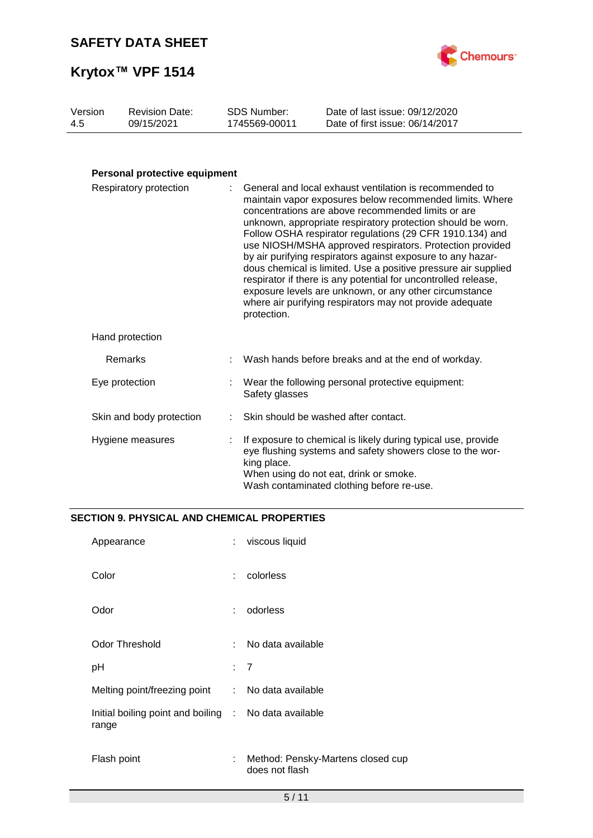



| Version | <b>Revision Date:</b> | SDS Number:   | Date of last issue: 09/12/2020  |
|---------|-----------------------|---------------|---------------------------------|
| -4.5    | 09/15/2021            | 1745569-00011 | Date of first issue: 06/14/2017 |
|         |                       |               |                                 |

## **Personal protective equipment**

| Respiratory protection   |  | General and local exhaust ventilation is recommended to<br>maintain vapor exposures below recommended limits. Where<br>concentrations are above recommended limits or are<br>unknown, appropriate respiratory protection should be worn.<br>Follow OSHA respirator regulations (29 CFR 1910.134) and<br>use NIOSH/MSHA approved respirators. Protection provided<br>by air purifying respirators against exposure to any hazar-<br>dous chemical is limited. Use a positive pressure air supplied<br>respirator if there is any potential for uncontrolled release,<br>exposure levels are unknown, or any other circumstance<br>where air purifying respirators may not provide adequate<br>protection. |  |
|--------------------------|--|----------------------------------------------------------------------------------------------------------------------------------------------------------------------------------------------------------------------------------------------------------------------------------------------------------------------------------------------------------------------------------------------------------------------------------------------------------------------------------------------------------------------------------------------------------------------------------------------------------------------------------------------------------------------------------------------------------|--|
| Hand protection          |  |                                                                                                                                                                                                                                                                                                                                                                                                                                                                                                                                                                                                                                                                                                          |  |
| Remarks                  |  | Wash hands before breaks and at the end of workday.                                                                                                                                                                                                                                                                                                                                                                                                                                                                                                                                                                                                                                                      |  |
| Eye protection           |  | Wear the following personal protective equipment:<br>Safety glasses                                                                                                                                                                                                                                                                                                                                                                                                                                                                                                                                                                                                                                      |  |
| Skin and body protection |  | Skin should be washed after contact.                                                                                                                                                                                                                                                                                                                                                                                                                                                                                                                                                                                                                                                                     |  |
| Hygiene measures         |  | If exposure to chemical is likely during typical use, provide<br>eye flushing systems and safety showers close to the wor-<br>king place.<br>When using do not eat, drink or smoke.<br>Wash contaminated clothing before re-use.                                                                                                                                                                                                                                                                                                                                                                                                                                                                         |  |

## **SECTION 9. PHYSICAL AND CHEMICAL PROPERTIES**

| Appearance                                                     | ÷  | viscous liquid                                      |
|----------------------------------------------------------------|----|-----------------------------------------------------|
| Color                                                          | ÷  | colorless                                           |
| Odor                                                           | ÷  | odorless                                            |
| <b>Odor Threshold</b>                                          | ÷  | No data available                                   |
| рH                                                             | t. | 7                                                   |
| Melting point/freezing point                                   | ÷. | No data available                                   |
| Initial boiling point and boiling : No data available<br>range |    |                                                     |
| Flash point                                                    | ÷  | Method: Pensky-Martens closed cup<br>does not flash |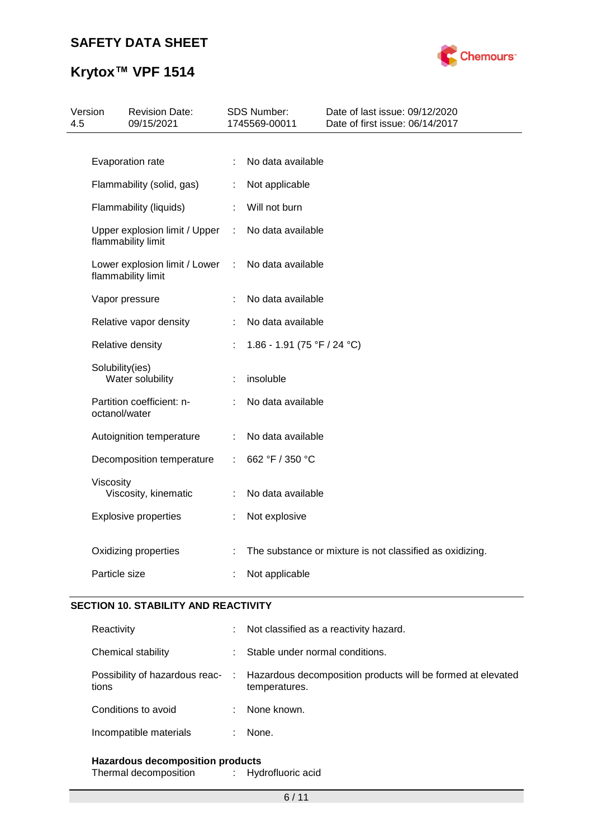

# **Krytox™ VPF 1514**

| Version<br>4.5 |                 | <b>Revision Date:</b><br>09/15/2021                 |                | SDS Number:<br>1745569-00011 | Date of last issue: 09/12/2020<br>Date of first issue: 06/14/2017 |
|----------------|-----------------|-----------------------------------------------------|----------------|------------------------------|-------------------------------------------------------------------|
|                |                 |                                                     |                |                              |                                                                   |
|                |                 | Evaporation rate                                    | ÷              | No data available            |                                                                   |
|                |                 | Flammability (solid, gas)                           | ÷              | Not applicable               |                                                                   |
|                |                 | Flammability (liquids)                              | $\mathcal{L}$  | Will not burn                |                                                                   |
|                |                 | Upper explosion limit / Upper<br>flammability limit | $\mathbb{R}^n$ | No data available            |                                                                   |
|                |                 | Lower explosion limit / Lower<br>flammability limit | ÷              | No data available            |                                                                   |
|                |                 | Vapor pressure                                      |                | No data available            |                                                                   |
|                |                 | Relative vapor density                              | ÷              | No data available            |                                                                   |
|                |                 | Relative density                                    | ÷              | 1.86 - 1.91 (75 °F / 24 °C)  |                                                                   |
|                | Solubility(ies) | Water solubility                                    | ÷              | insoluble                    |                                                                   |
|                | octanol/water   | Partition coefficient: n-                           |                | No data available            |                                                                   |
|                |                 | Autoignition temperature                            | $\mathbb{R}^n$ | No data available            |                                                                   |
|                |                 | Decomposition temperature                           | ÷              | 662 °F / 350 °C              |                                                                   |
|                | Viscosity       | Viscosity, kinematic                                | ÷              | No data available            |                                                                   |
|                |                 | <b>Explosive properties</b>                         | t              | Not explosive                |                                                                   |
|                |                 | Oxidizing properties                                |                |                              | The substance or mixture is not classified as oxidizing.          |
|                | Particle size   |                                                     |                | Not applicable               |                                                                   |

## **SECTION 10. STABILITY AND REACTIVITY**

| Reactivity             | ÷ | Not classified as a reactivity hazard.                                                                        |
|------------------------|---|---------------------------------------------------------------------------------------------------------------|
| Chemical stability     |   | Stable under normal conditions.                                                                               |
| tions                  |   | Possibility of hazardous reac- : Hazardous decomposition products will be formed at elevated<br>temperatures. |
| Conditions to avoid    |   | None known.                                                                                                   |
| Incompatible materials |   | None.                                                                                                         |
|                        |   |                                                                                                               |

**Hazardous decomposition products** Thermal decomposition :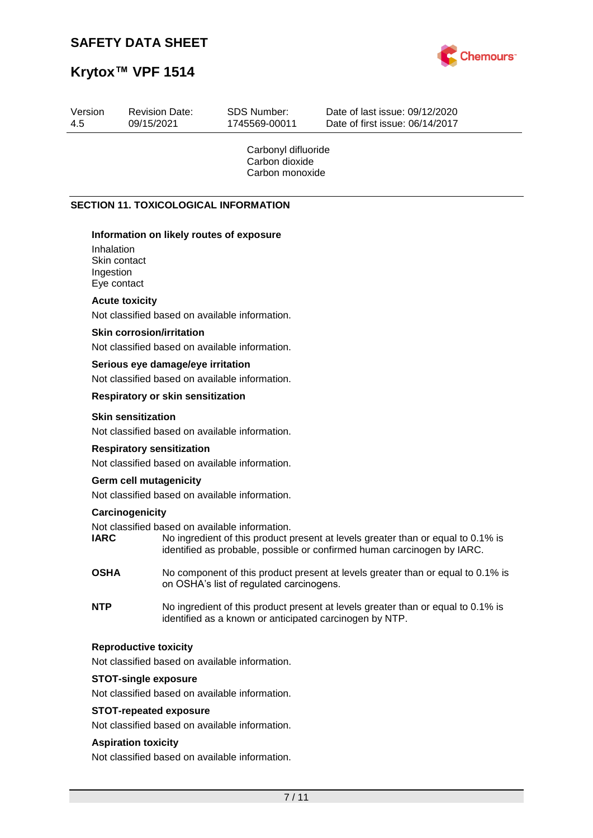Revision Date:



Date of last issue: 09/12/2020

# **Krytox™ VPF 1514**

Version

| 4.5 | 09/15/2021                                             |                                                                                     | 1745569-00011                                            | Date of first issue: 06/14/2017                                                                                                                             |
|-----|--------------------------------------------------------|-------------------------------------------------------------------------------------|----------------------------------------------------------|-------------------------------------------------------------------------------------------------------------------------------------------------------------|
|     |                                                        |                                                                                     | Carbonyl difluoride<br>Carbon dioxide<br>Carbon monoxide |                                                                                                                                                             |
|     |                                                        | <b>SECTION 11. TOXICOLOGICAL INFORMATION</b>                                        |                                                          |                                                                                                                                                             |
|     | Inhalation<br>Skin contact<br>Ingestion<br>Eye contact | Information on likely routes of exposure                                            |                                                          |                                                                                                                                                             |
|     | <b>Acute toxicity</b>                                  | Not classified based on available information.                                      |                                                          |                                                                                                                                                             |
|     | <b>Skin corrosion/irritation</b>                       | Not classified based on available information.                                      |                                                          |                                                                                                                                                             |
|     |                                                        | Serious eye damage/eye irritation<br>Not classified based on available information. |                                                          |                                                                                                                                                             |
|     |                                                        | Respiratory or skin sensitization                                                   |                                                          |                                                                                                                                                             |
|     | <b>Skin sensitization</b>                              | Not classified based on available information.                                      |                                                          |                                                                                                                                                             |
|     | <b>Respiratory sensitization</b>                       | Not classified based on available information.                                      |                                                          |                                                                                                                                                             |
|     | <b>Germ cell mutagenicity</b>                          | Not classified based on available information.                                      |                                                          |                                                                                                                                                             |
|     | Carcinogenicity<br><b>IARC</b>                         | Not classified based on available information.                                      |                                                          | No ingredient of this product present at levels greater than or equal to 0.1% is<br>identified as probable, possible or confirmed human carcinogen by IARC. |
|     | <b>OSHA</b>                                            | on OSHA's list of regulated carcinogens.                                            |                                                          | No component of this product present at levels greater than or equal to 0.1% is                                                                             |
|     | <b>NTP</b>                                             |                                                                                     |                                                          | No ingredient of this product present at levels greater than or equal to 0.1% is<br>identified as a known or anticipated carcinogen by NTP.                 |
|     | <b>Reproductive toxicity</b>                           | Not classified based on available information.                                      |                                                          |                                                                                                                                                             |
|     | <b>STOT-single exposure</b>                            | Not classified based on available information.                                      |                                                          |                                                                                                                                                             |
|     | <b>STOT-repeated exposure</b>                          | Not classified based on available information.                                      |                                                          |                                                                                                                                                             |
|     | <b>Aspiration toxicity</b>                             | Not classified based on available information.                                      |                                                          |                                                                                                                                                             |
|     |                                                        |                                                                                     | 7/11                                                     |                                                                                                                                                             |
|     |                                                        |                                                                                     |                                                          |                                                                                                                                                             |
|     |                                                        |                                                                                     |                                                          |                                                                                                                                                             |

SDS Number: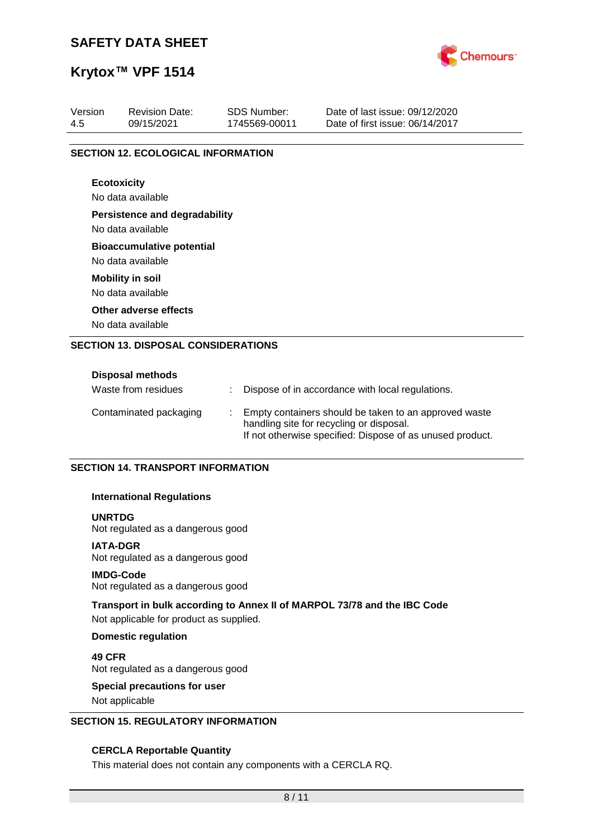

## **Krytox™ VPF 1514**

| Version | <b>Revision Date:</b>                      | <b>SDS Number:</b> | Date of last issue: 09/12/2020<br>Date of first issue: 06/14/2017 |  |  |  |  |  |  |
|---------|--------------------------------------------|--------------------|-------------------------------------------------------------------|--|--|--|--|--|--|
| 4.5     | 09/15/2021                                 | 1745569-00011      |                                                                   |  |  |  |  |  |  |
|         | <b>SECTION 12. ECOLOGICAL INFORMATION</b>  |                    |                                                                   |  |  |  |  |  |  |
|         | <b>Ecotoxicity</b>                         |                    |                                                                   |  |  |  |  |  |  |
|         | No data available                          |                    |                                                                   |  |  |  |  |  |  |
|         | <b>Persistence and degradability</b>       |                    |                                                                   |  |  |  |  |  |  |
|         | No data available                          |                    |                                                                   |  |  |  |  |  |  |
|         | <b>Bioaccumulative potential</b>           |                    |                                                                   |  |  |  |  |  |  |
|         | No data available                          |                    |                                                                   |  |  |  |  |  |  |
|         | <b>Mobility in soil</b>                    |                    |                                                                   |  |  |  |  |  |  |
|         | No data available                          |                    |                                                                   |  |  |  |  |  |  |
|         | Other adverse effects                      |                    |                                                                   |  |  |  |  |  |  |
|         | No data available                          |                    |                                                                   |  |  |  |  |  |  |
|         | <b>SECTION 13. DISPOSAL CONSIDERATIONS</b> |                    |                                                                   |  |  |  |  |  |  |
|         |                                            |                    |                                                                   |  |  |  |  |  |  |
|         | Disposal methods                           |                    |                                                                   |  |  |  |  |  |  |

| <b>PISPOSAI IIIGUIUUS</b> |                                                                                                                                                                |
|---------------------------|----------------------------------------------------------------------------------------------------------------------------------------------------------------|
| Waste from residues       | Dispose of in accordance with local regulations.                                                                                                               |
| Contaminated packaging    | Empty containers should be taken to an approved waste<br>handling site for recycling or disposal.<br>If not otherwise specified: Dispose of as unused product. |

### **SECTION 14. TRANSPORT INFORMATION**

### **International Regulations**

### **UNRTDG**

Not regulated as a dangerous good

### **IATA-DGR**

Not regulated as a dangerous good

### **IMDG-Code**

Not regulated as a dangerous good

### **Transport in bulk according to Annex II of MARPOL 73/78 and the IBC Code**

Not applicable for product as supplied.

### **Domestic regulation**

**49 CFR** Not regulated as a dangerous good

# **Special precautions for user**

Not applicable

### **SECTION 15. REGULATORY INFORMATION**

### **CERCLA Reportable Quantity**

This material does not contain any components with a CERCLA RQ.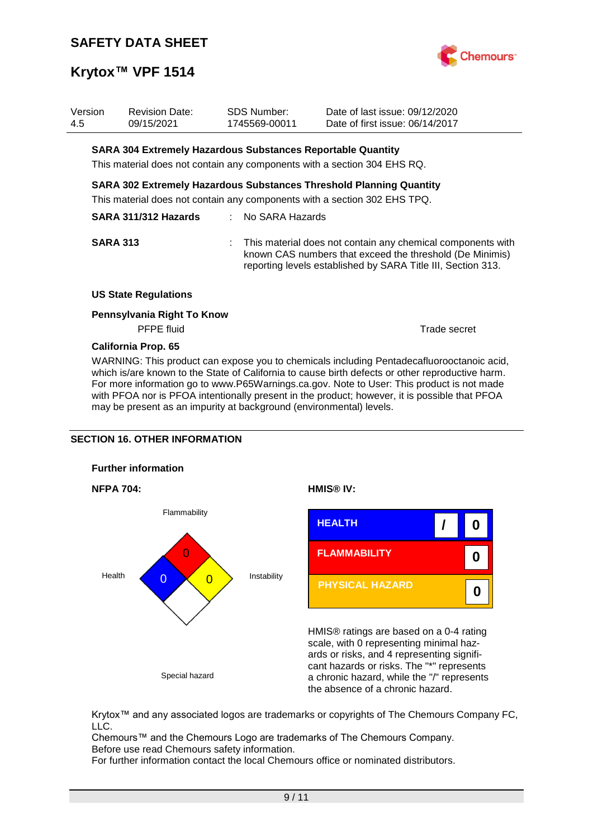

| Version<br>4.5 |                 | <b>Revision Date:</b><br>09/15/2021                                                                                                              | SDS Number:<br>1745569-00011 | Date of last issue: 09/12/2020<br>Date of first issue: 06/14/2017                                                        |                                                             |
|----------------|-----------------|--------------------------------------------------------------------------------------------------------------------------------------------------|------------------------------|--------------------------------------------------------------------------------------------------------------------------|-------------------------------------------------------------|
|                |                 | <b>SARA 304 Extremely Hazardous Substances Reportable Quantity</b><br>This material does not contain any components with a section 304 EHS RQ.   |                              |                                                                                                                          |                                                             |
|                |                 | SARA 302 Extremely Hazardous Substances Threshold Planning Quantity<br>This material does not contain any components with a section 302 EHS TPQ. |                              |                                                                                                                          |                                                             |
|                |                 | SARA 311/312 Hazards                                                                                                                             | : No SARA Hazards            |                                                                                                                          |                                                             |
|                | <b>SARA 313</b> |                                                                                                                                                  |                              | known CAS numbers that exceed the threshold (De Minimis)<br>reporting levels established by SARA Title III, Section 313. | This material does not contain any chemical components with |
|                |                 | <b>US State Regulations</b>                                                                                                                      |                              |                                                                                                                          |                                                             |
|                |                 | Pennsylvania Right To Know<br><b>PFPE</b> fluid                                                                                                  |                              |                                                                                                                          | Trade secret                                                |
|                |                 | Califacela Deag CE                                                                                                                               |                              |                                                                                                                          |                                                             |

**California Prop. 65**

WARNING: This product can expose you to chemicals including Pentadecafluorooctanoic acid, which is/are known to the State of California to cause birth defects or other reproductive harm. For more information go to www.P65Warnings.ca.gov. Note to User: This product is not made with PFOA nor is PFOA intentionally present in the product; however, it is possible that PFOA may be present as an impurity at background (environmental) levels.

## **SECTION 16. OTHER INFORMATION**









HMIS® ratings are based on a 0-4 rating scale, with 0 representing minimal hazards or risks, and 4 representing significant hazards or risks. The "\*" represents a chronic hazard, while the "/" represents the absence of a chronic hazard.

Krytox™ and any associated logos are trademarks or copyrights of The Chemours Company FC, LLC.

Chemours™ and the Chemours Logo are trademarks of The Chemours Company. Before use read Chemours safety information.

For further information contact the local Chemours office or nominated distributors.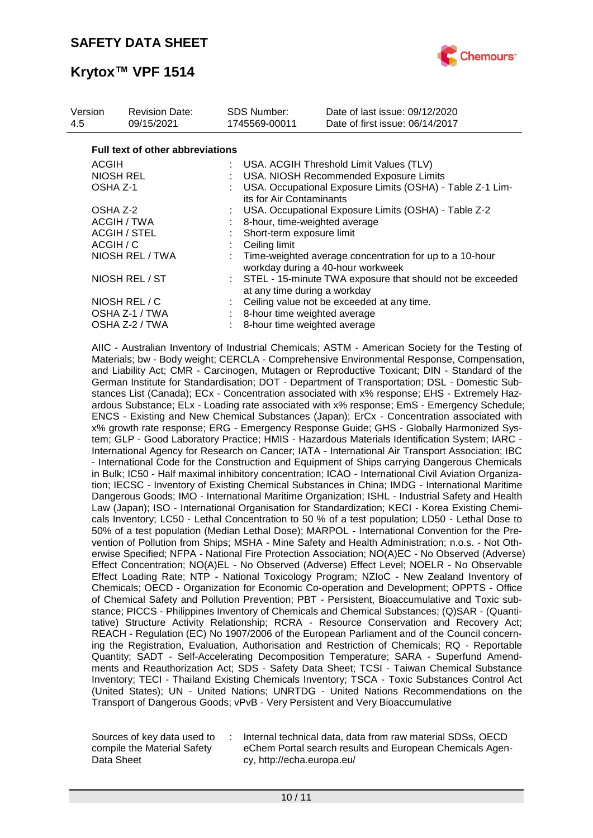

| Version<br>4.5  | <b>Revision Date:</b><br>09/15/2021     |  | <b>SDS Number:</b><br>1745569-00011                                                         | Date of last issue: 09/12/2020<br>Date of first issue: 06/14/2017                            |  |  |  |
|-----------------|-----------------------------------------|--|---------------------------------------------------------------------------------------------|----------------------------------------------------------------------------------------------|--|--|--|
|                 | <b>Full text of other abbreviations</b> |  |                                                                                             |                                                                                              |  |  |  |
| <b>ACGIH</b>    |                                         |  |                                                                                             | : USA. ACGIH Threshold Limit Values (TLV)                                                    |  |  |  |
| NIOSH REL       |                                         |  | USA. NIOSH Recommended Exposure Limits                                                      |                                                                                              |  |  |  |
|                 | OSHA Z-1                                |  | USA. Occupational Exposure Limits (OSHA) - Table Z-1 Lim-<br>its for Air Contaminants       |                                                                                              |  |  |  |
|                 | OSHA Z-2                                |  | USA. Occupational Exposure Limits (OSHA) - Table Z-2                                        |                                                                                              |  |  |  |
|                 | ACGIH / TWA                             |  | 8-hour, time-weighted average                                                               |                                                                                              |  |  |  |
|                 | ACGIH / STEL                            |  | Short-term exposure limit                                                                   |                                                                                              |  |  |  |
|                 | ACGIH / C                               |  | Ceiling limit                                                                               |                                                                                              |  |  |  |
| NIOSH REL / TWA |                                         |  |                                                                                             | Time-weighted average concentration for up to a 10-hour<br>workday during a 40-hour workweek |  |  |  |
| NIOSH REL / ST  |                                         |  | : STEL - 15-minute TWA exposure that should not be exceeded<br>at any time during a workday |                                                                                              |  |  |  |
|                 | NIOSH REL / C                           |  |                                                                                             | Ceiling value not be exceeded at any time.                                                   |  |  |  |
|                 | OSHA Z-1 / TWA                          |  | : 8-hour time weighted average                                                              |                                                                                              |  |  |  |
|                 | OSHA Z-2 / TWA                          |  | 8-hour time weighted average                                                                |                                                                                              |  |  |  |

AIIC - Australian Inventory of Industrial Chemicals; ASTM - American Society for the Testing of Materials; bw - Body weight; CERCLA - Comprehensive Environmental Response, Compensation, and Liability Act; CMR - Carcinogen, Mutagen or Reproductive Toxicant; DIN - Standard of the German Institute for Standardisation; DOT - Department of Transportation; DSL - Domestic Substances List (Canada); ECx - Concentration associated with x% response; EHS - Extremely Hazardous Substance; ELx - Loading rate associated with x% response; EmS - Emergency Schedule; ENCS - Existing and New Chemical Substances (Japan); ErCx - Concentration associated with x% growth rate response; ERG - Emergency Response Guide; GHS - Globally Harmonized System; GLP - Good Laboratory Practice; HMIS - Hazardous Materials Identification System; IARC - International Agency for Research on Cancer; IATA - International Air Transport Association; IBC - International Code for the Construction and Equipment of Ships carrying Dangerous Chemicals in Bulk; IC50 - Half maximal inhibitory concentration; ICAO - International Civil Aviation Organization; IECSC - Inventory of Existing Chemical Substances in China; IMDG - International Maritime Dangerous Goods; IMO - International Maritime Organization; ISHL - Industrial Safety and Health Law (Japan); ISO - International Organisation for Standardization; KECI - Korea Existing Chemicals Inventory; LC50 - Lethal Concentration to 50 % of a test population; LD50 - Lethal Dose to 50% of a test population (Median Lethal Dose); MARPOL - International Convention for the Prevention of Pollution from Ships; MSHA - Mine Safety and Health Administration; n.o.s. - Not Otherwise Specified; NFPA - National Fire Protection Association; NO(A)EC - No Observed (Adverse) Effect Concentration; NO(A)EL - No Observed (Adverse) Effect Level; NOELR - No Observable Effect Loading Rate; NTP - National Toxicology Program; NZIoC - New Zealand Inventory of Chemicals; OECD - Organization for Economic Co-operation and Development; OPPTS - Office of Chemical Safety and Pollution Prevention; PBT - Persistent, Bioaccumulative and Toxic substance; PICCS - Philippines Inventory of Chemicals and Chemical Substances; (Q)SAR - (Quantitative) Structure Activity Relationship; RCRA - Resource Conservation and Recovery Act; REACH - Regulation (EC) No 1907/2006 of the European Parliament and of the Council concerning the Registration, Evaluation, Authorisation and Restriction of Chemicals; RQ - Reportable Quantity; SADT - Self-Accelerating Decomposition Temperature; SARA - Superfund Amendments and Reauthorization Act; SDS - Safety Data Sheet; TCSI - Taiwan Chemical Substance Inventory; TECI - Thailand Existing Chemicals Inventory; TSCA - Toxic Substances Control Act (United States); UN - United Nations; UNRTDG - United Nations Recommendations on the Transport of Dangerous Goods; vPvB - Very Persistent and Very Bioaccumulative

Sources of key data used to compile the Material Safety Data Sheet

Internal technical data, data from raw material SDSs, OECD eChem Portal search results and European Chemicals Agency, http://echa.europa.eu/